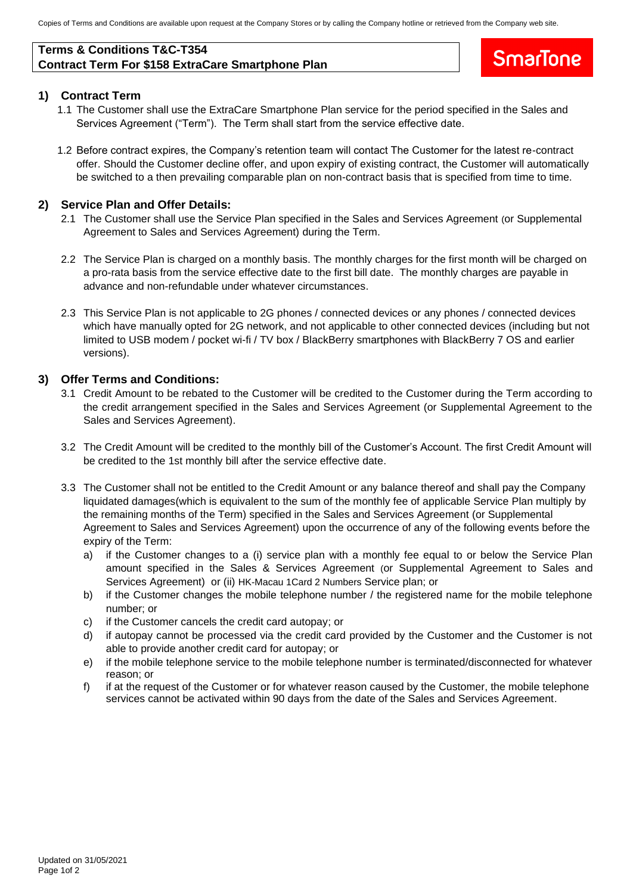Copies of Terms and Conditions are available upon request at the Company Stores or by calling the Company hotline or retrieved from the Company web site.

## **Terms & Conditions T&C-T354 Contract Term For \$158 ExtraCare Smartphone Plan**



#### **1) Contract Term**

- 1.1 The Customer shall use the ExtraCare Smartphone Plan service for the period specified in the Sales and Services Agreement ("Term"). The Term shall start from the service effective date.
- 1.2 Before contract expires, the Company's retention team will contact The Customer for the latest re-contract offer. Should the Customer decline offer, and upon expiry of existing contract, the Customer will automatically be switched to a then prevailing comparable plan on non-contract basis that is specified from time to time.

### **2) Service Plan and Offer Details:**

- 2.1 The Customer shall use the Service Plan specified in the Sales and Services Agreement (or Supplemental Agreement to Sales and Services Agreement) during the Term.
- 2.2 The Service Plan is charged on a monthly basis. The monthly charges for the first month will be charged on a pro-rata basis from the service effective date to the first bill date. The monthly charges are payable in advance and non-refundable under whatever circumstances.
- 2.3 This Service Plan is not applicable to 2G phones / connected devices or any phones / connected devices which have manually opted for 2G network, and not applicable to other connected devices (including but not limited to USB modem / pocket wi-fi / TV box / BlackBerry smartphones with BlackBerry 7 OS and earlier versions).

### **3) Offer Terms and Conditions:**

- 3.1 Credit Amount to be rebated to the Customer will be credited to the Customer during the Term according to the credit arrangement specified in the Sales and Services Agreement (or Supplemental Agreement to the Sales and Services Agreement).
- 3.2 The Credit Amount will be credited to the monthly bill of the Customer's Account. The first Credit Amount will be credited to the 1st monthly bill after the service effective date.
- 3.3 The Customer shall not be entitled to the Credit Amount or any balance thereof and shall pay the Company liquidated damages(which is equivalent to the sum of the monthly fee of applicable Service Plan multiply by the remaining months of the Term) specified in the Sales and Services Agreement (or Supplemental Agreement to Sales and Services Agreement) upon the occurrence of any of the following events before the expiry of the Term:
	- a) if the Customer changes to a (i) service plan with a monthly fee equal to or below the Service Plan amount specified in the Sales & Services Agreement (or Supplemental Agreement to Sales and Services Agreement) or (ii) HK-Macau 1Card 2 Numbers Service plan; or
	- b) if the Customer changes the mobile telephone number / the registered name for the mobile telephone number; or
	- c) if the Customer cancels the credit card autopay; or
	- d) if autopay cannot be processed via the credit card provided by the Customer and the Customer is not able to provide another credit card for autopay; or
	- e) if the mobile telephone service to the mobile telephone number is terminated/disconnected for whatever reason; or
	- f) if at the request of the Customer or for whatever reason caused by the Customer, the mobile telephone services cannot be activated within 90 days from the date of the Sales and Services Agreement.